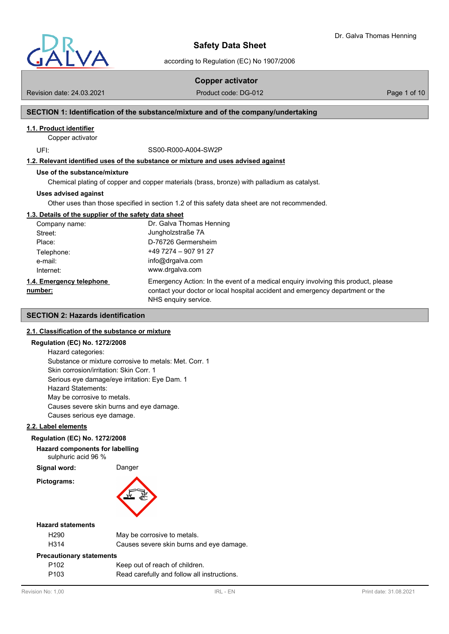

according to Regulation (EC) No 1907/2006

**Copper activator**

Revision date: 24.03.2021 **Product code: DG-012** Page 1 of 10

# **SECTION 1: Identification of the substance/mixture and of the company/undertaking**

# **1.1. Product identifier**

Copper activator

UFI: SS00-R000-A004-SW2P

# **1.2. Relevant identified uses of the substance or mixture and uses advised against**

#### **Use of the substance/mixture**

Chemical plating of copper and copper materials (brass, bronze) with palladium as catalyst.

#### **Uses advised against**

Other uses than those specified in section 1.2 of this safety data sheet are not recommended.

#### **1.3. Details of the supplier of the safety data sheet**

| Company name:                       | Dr. Galva Thomas Henning                                                                                                                                                                     |
|-------------------------------------|----------------------------------------------------------------------------------------------------------------------------------------------------------------------------------------------|
| Street:                             | Jungholzstraße 7A                                                                                                                                                                            |
| Place:                              | D-76726 Germersheim                                                                                                                                                                          |
| Telephone:                          | $+497274 - 9079127$                                                                                                                                                                          |
| e-mail:                             | info@drgalva.com                                                                                                                                                                             |
| Internet:                           | www.drgalva.com                                                                                                                                                                              |
| 1.4. Emergency telephone<br>number: | Emergency Action: In the event of a medical enguiry involving this product, please<br>contact your doctor or local hospital accident and emergency department or the<br>NHS enquiry service. |

# **SECTION 2: Hazards identification**

## **2.1. Classification of the substance or mixture**

#### **Regulation (EC) No. 1272/2008**

Hazard categories: Substance or mixture corrosive to metals: Met. Corr. 1 Skin corrosion/irritation: Skin Corr. 1 Serious eye damage/eye irritation: Eye Dam. 1 Hazard Statements: May be corrosive to metals. Causes severe skin burns and eye damage. Causes serious eye damage.

# **2.2. Label elements**

#### **Regulation (EC) No. 1272/2008**

#### **Hazard components for labelling**

sulphuric acid 96 %

**Signal word:** Danger

**Pictograms:**



#### **Hazard statements**

| H <sub>290</sub>                | May be corrosive to metals.              |
|---------------------------------|------------------------------------------|
| H <sub>3</sub> 14               | Causes severe skin burns and eye damage. |
|                                 |                                          |
| <b>Precautionary statements</b> |                                          |
| P <sub>102</sub>                | Keep out of reach of children.           |

P103 Read carefully and follow all instructions.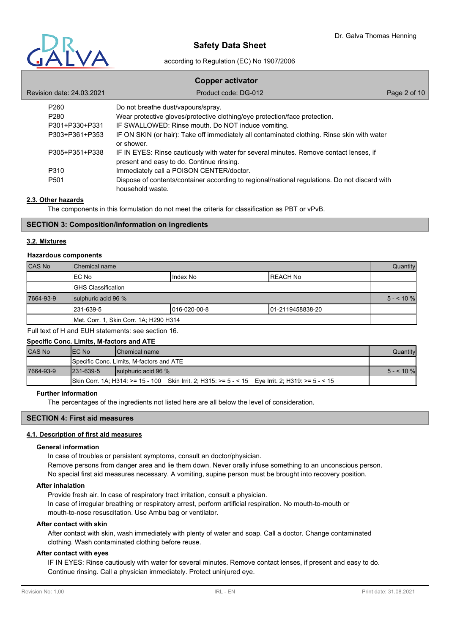

# according to Regulation (EC) No 1907/2006

# **Copper activator** Revision date: 24.03.2021 **Product code: DG-012** Page 2 of 10 P260 Do not breathe dust/vapours/spray. P280 Wear protective gloves/protective clothing/eye protection/face protection. P301+P330+P331 IF SWALLOWED: Rinse mouth. Do NOT induce vomiting. P303+P361+P353 IF ON SKIN (or hair): Take off immediately all contaminated clothing. Rinse skin with water or shower. P305+P351+P338 IF IN EYES: Rinse cautiously with water for several minutes. Remove contact lenses, if present and easy to do. Continue rinsing. P310 Immediately call a POISON CENTER/doctor. P501 Dispose of contents/container according to regional/national regulations. Do not discard with household waste.

# **2.3. Other hazards**

The components in this formulation do not meet the criteria for classification as PBT or vPvB.

#### **SECTION 3: Composition/information on ingredients**

### **3.2. Mixtures**

#### **Hazardous components**

| CAS No    | l Chemical name                        |               | Quantity          |            |
|-----------|----------------------------------------|---------------|-------------------|------------|
|           | IEC No                                 | Index No      | IREACH No         |            |
|           | IGHS Classification                    |               |                   |            |
| 7664-93-9 | sulphuric acid 96 %                    |               |                   | $5 - 10\%$ |
|           | 231-639-5                              | l016-020-00-8 | 101-2119458838-20 |            |
|           | Met. Corr. 1, Skin Corr. 1A; H290 H314 |               |                   |            |

Full text of H and EUH statements: see section 16.

| Specific Conc. Limits, M-factors and ATE |                  |                                                                                                   |            |
|------------------------------------------|------------------|---------------------------------------------------------------------------------------------------|------------|
| <b>CAS No</b>                            | IEC No           | <b>IChemical name</b>                                                                             | Quantity   |
|                                          |                  | Specific Conc. Limits, M-factors and ATE                                                          |            |
| 7664-93-9                                | $1231 - 639 - 5$ | <b>Isulphuric acid 96 %</b>                                                                       | $5 - 10\%$ |
|                                          |                  | Skin Corr. 1A; H314: >= 15 - 100 Skin Irrit. 2; H315: >= 5 - < 15 Eye Irrit. 2; H319: >= 5 - < 15 |            |

#### **Further Information**

The percentages of the ingredients not listed here are all below the level of consideration.

# **SECTION 4: First aid measures**

# **4.1. Description of first aid measures**

# **General information**

In case of troubles or persistent symptoms, consult an doctor/physician. Remove persons from danger area and lie them down. Never orally infuse something to an unconscious person. No special first aid measures necessary. A vomiting, supine person must be brought into recovery position.

#### **After inhalation**

Provide fresh air. In case of respiratory tract irritation, consult a physician. In case of irregular breathing or respiratory arrest, perform artificial respiration. No mouth-to-mouth or mouth-to-nose resuscitation. Use Ambu bag or ventilator.

#### **After contact with skin**

After contact with skin, wash immediately with plenty of water and soap. Call a doctor. Change contaminated clothing. Wash contaminated clothing before reuse.

### **After contact with eyes**

IF IN EYES: Rinse cautiously with water for several minutes. Remove contact lenses, if present and easy to do. Continue rinsing. Call a physician immediately. Protect uninjured eye.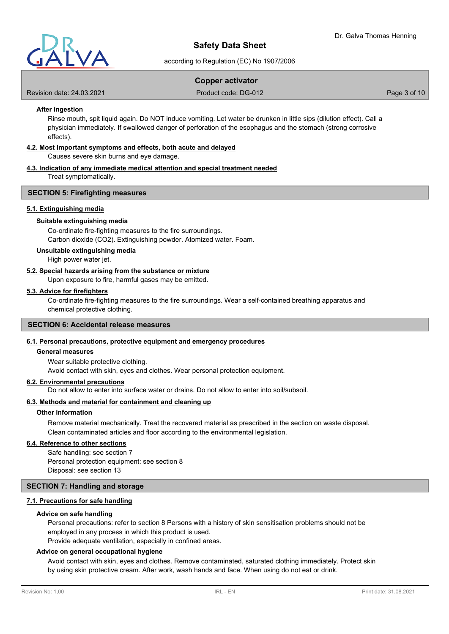

according to Regulation (EC) No 1907/2006

# **Copper activator**

Revision date: 24.03.2021 **Product code: DG-012** Page 3 of 10

#### **After ingestion**

Rinse mouth, spit liquid again. Do NOT induce vomiting. Let water be drunken in little sips (dilution effect). Call a physician immediately. If swallowed danger of perforation of the esophagus and the stomach (strong corrosive effects).

# **4.2. Most important symptoms and effects, both acute and delayed**

Causes severe skin burns and eye damage.

#### **4.3. Indication of any immediate medical attention and special treatment needed** Treat symptomatically.

### **SECTION 5: Firefighting measures**

#### **5.1. Extinguishing media**

#### **Suitable extinguishing media**

Co-ordinate fire-fighting measures to the fire surroundings. Carbon dioxide (CO2). Extinguishing powder. Atomized water. Foam.

### **Unsuitable extinguishing media**

High power water jet.

#### **5.2. Special hazards arising from the substance or mixture**

Upon exposure to fire, harmful gases may be emitted.

### **5.3. Advice for firefighters**

Co-ordinate fire-fighting measures to the fire surroundings. Wear a self-contained breathing apparatus and chemical protective clothing.

#### **SECTION 6: Accidental release measures**

# **6.1. Personal precautions, protective equipment and emergency procedures**

#### **General measures**

Wear suitable protective clothing.

Avoid contact with skin, eyes and clothes. Wear personal protection equipment.

#### **6.2. Environmental precautions**

Do not allow to enter into surface water or drains. Do not allow to enter into soil/subsoil.

#### **6.3. Methods and material for containment and cleaning up**

# **Other information**

Remove material mechanically. Treat the recovered material as prescribed in the section on waste disposal. Clean contaminated articles and floor according to the environmental legislation.

#### **6.4. Reference to other sections**

Safe handling: see section 7 Personal protection equipment: see section 8 Disposal: see section 13

#### **SECTION 7: Handling and storage**

#### **7.1. Precautions for safe handling**

#### **Advice on safe handling**

Personal precautions: refer to section 8 Persons with a history of skin sensitisation problems should not be employed in any process in which this product is used.

Provide adequate ventilation, especially in confined areas.

#### **Advice on general occupational hygiene**

Avoid contact with skin, eyes and clothes. Remove contaminated, saturated clothing immediately. Protect skin by using skin protective cream. After work, wash hands and face. When using do not eat or drink.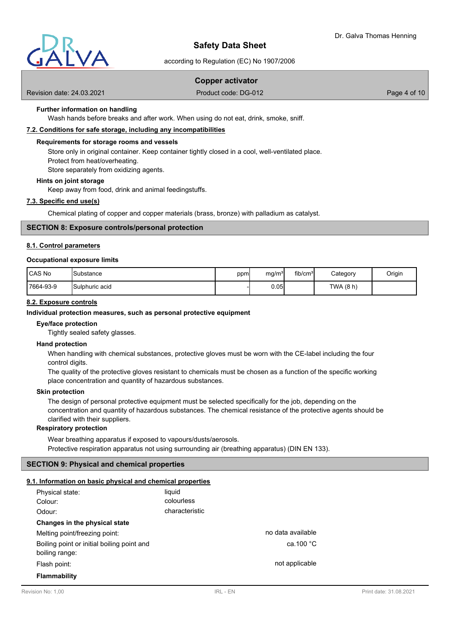

according to Regulation (EC) No 1907/2006

# **Copper activator**

Revision date: 24.03.2021 **Product code: DG-012** Page 4 of 10

# **Further information on handling**

Wash hands before breaks and after work. When using do not eat, drink, smoke, sniff.

### **7.2. Conditions for safe storage, including any incompatibilities**

## **Requirements for storage rooms and vessels**

Store only in original container. Keep container tightly closed in a cool, well-ventilated place.

Protect from heat/overheating.

Store separately from oxidizing agents.

#### **Hints on joint storage**

Keep away from food, drink and animal feedingstuffs.

### **7.3. Specific end use(s)**

Chemical plating of copper and copper materials (brass, bronze) with palladium as catalyst.

# **SECTION 8: Exposure controls/personal protection**

#### **8.1. Control parameters**

#### **Occupational exposure limits**

| l CAS No  | <b>I</b> Substance    | ppml | ma/m <sup>31</sup> | fib/cm <sup>3</sup> | Category  | Origin |
|-----------|-----------------------|------|--------------------|---------------------|-----------|--------|
| 7664-93-9 | <b>Sulphuric acid</b> |      | 0.05               |                     | TWA (8 h) |        |

# **8.2. Exposure controls**

#### **Individual protection measures, such as personal protective equipment**

#### **Eye/face protection**

Tightly sealed safety glasses.

#### **Hand protection**

When handling with chemical substances, protective gloves must be worn with the CE-label including the four control digits.

The quality of the protective gloves resistant to chemicals must be chosen as a function of the specific working place concentration and quantity of hazardous substances.

#### **Skin protection**

The design of personal protective equipment must be selected specifically for the job, depending on the concentration and quantity of hazardous substances. The chemical resistance of the protective agents should be clarified with their suppliers.

### **Respiratory protection**

Wear breathing apparatus if exposed to vapours/dusts/aerosols. Protective respiration apparatus not using surrounding air (breathing apparatus) (DIN EN 133).

# **SECTION 9: Physical and chemical properties**

#### **9.1. Information on basic physical and chemical properties**

| Physical state:<br>Colour:                                   | liquid<br>colourless |                   |
|--------------------------------------------------------------|----------------------|-------------------|
| Odour:                                                       | characteristic       |                   |
| Changes in the physical state                                |                      |                   |
| Melting point/freezing point:                                |                      | no data available |
| Boiling point or initial boiling point and<br>boiling range: |                      | ca.100 $°C$       |
| Flash point:                                                 |                      | not applicable    |
| <b>Flammability</b>                                          |                      |                   |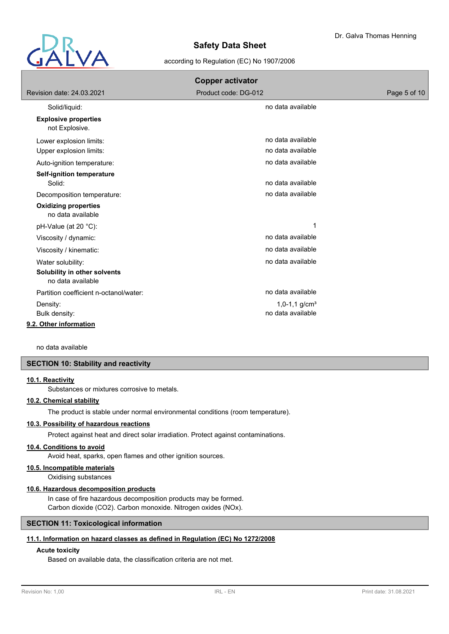

# according to Regulation (EC) No 1907/2006

| <b>Copper activator</b>                           |                             |              |  |
|---------------------------------------------------|-----------------------------|--------------|--|
| Revision date: 24.03.2021                         | Product code: DG-012        | Page 5 of 10 |  |
| Solid/liquid:                                     | no data available           |              |  |
| <b>Explosive properties</b><br>not Explosive.     |                             |              |  |
| Lower explosion limits:                           | no data available           |              |  |
| Upper explosion limits:                           | no data available           |              |  |
| Auto-ignition temperature:                        | no data available           |              |  |
| Self-ignition temperature                         |                             |              |  |
| Solid:                                            | no data available           |              |  |
| Decomposition temperature:                        | no data available           |              |  |
| <b>Oxidizing properties</b><br>no data available  |                             |              |  |
| pH-Value (at 20 °C):                              | 1                           |              |  |
| Viscosity / dynamic:                              | no data available           |              |  |
| Viscosity / kinematic:                            | no data available           |              |  |
| Water solubility:                                 | no data available           |              |  |
| Solubility in other solvents<br>no data available |                             |              |  |
| Partition coefficient n-octanol/water:            | no data available           |              |  |
| Density:                                          | $1,0-1,1$ g/cm <sup>3</sup> |              |  |
| Bulk density:                                     | no data available           |              |  |
| 9.2. Other information                            |                             |              |  |

no data available

# **SECTION 10: Stability and reactivity**

#### **10.1. Reactivity**

Substances or mixtures corrosive to metals.

# **10.2. Chemical stability**

The product is stable under normal environmental conditions (room temperature).

# **10.3. Possibility of hazardous reactions**

Protect against heat and direct solar irradiation. Protect against contaminations.

# **10.4. Conditions to avoid**

Avoid heat, sparks, open flames and other ignition sources.

### **10.5. Incompatible materials**

Oxidising substances

#### **10.6. Hazardous decomposition products**

In case of fire hazardous decomposition products may be formed. Carbon dioxide (CO2). Carbon monoxide. Nitrogen oxides (NOx).

## **SECTION 11: Toxicological information**

#### **11.1. Information on hazard classes as defined in Regulation (EC) No 1272/2008**

# **Acute toxicity**

Based on available data, the classification criteria are not met.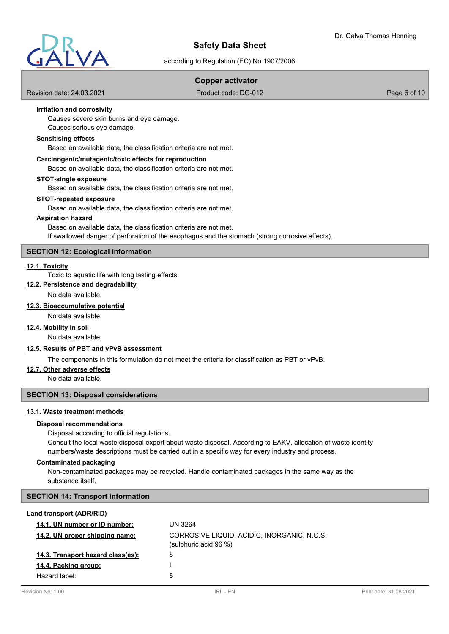

according to Regulation (EC) No 1907/2006

# **Copper activator**

Revision date: 24.03.2021 **Product code: DG-012** Page 6 of 10

# **Irritation and corrosivity**

Causes severe skin burns and eye damage.

Causes serious eye damage.

# **Sensitising effects**

Based on available data, the classification criteria are not met.

## **Carcinogenic/mutagenic/toxic effects for reproduction**

Based on available data, the classification criteria are not met.

### **STOT-single exposure**

Based on available data, the classification criteria are not met.

### **STOT-repeated exposure**

Based on available data, the classification criteria are not met.

#### **Aspiration hazard**

Based on available data, the classification criteria are not met. If swallowed danger of perforation of the esophagus and the stomach (strong corrosive effects).

# **SECTION 12: Ecological information**

#### **12.1. Toxicity**

Toxic to aquatic life with long lasting effects.

#### **12.2. Persistence and degradability**

No data available.

# **12.3. Bioaccumulative potential**

No data available.

#### **12.4. Mobility in soil**

No data available.

#### **12.5. Results of PBT and vPvB assessment**

The components in this formulation do not meet the criteria for classification as PBT or vPvB.

# **12.7. Other adverse effects**

No data available.

# **SECTION 13: Disposal considerations**

### **13.1. Waste treatment methods**

#### **Disposal recommendations**

Disposal according to official regulations.

Consult the local waste disposal expert about waste disposal. According to EAKV, allocation of waste identity numbers/waste descriptions must be carried out in a specific way for every industry and process.

#### **Contaminated packaging**

Non-contaminated packages may be recycled. Handle contaminated packages in the same way as the substance itself.

# **SECTION 14: Transport information**

#### **Land transport (ADR/RID)**

| 14.1. UN number or ID number:     | UN 3264                                                              |
|-----------------------------------|----------------------------------------------------------------------|
| 14.2. UN proper shipping name:    | CORROSIVE LIQUID, ACIDIC, INORGANIC, N.O.S.<br>(sulphuric acid 96 %) |
| 14.3. Transport hazard class(es): | 8                                                                    |
| 14.4. Packing group:              | H                                                                    |
| Hazard label:                     | 8                                                                    |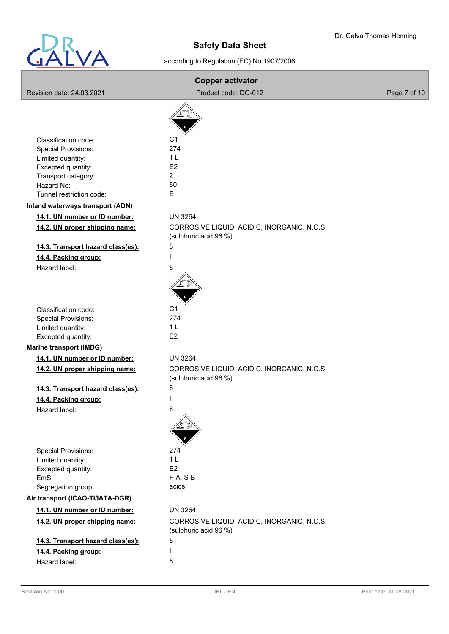

# according to Regulation (EC) No 1907/2006

| <b>Copper activator</b>                                |                                                                      |              |
|--------------------------------------------------------|----------------------------------------------------------------------|--------------|
| Revision date: 24.03.2021                              | Product code: DG-012                                                 | Page 7 of 10 |
|                                                        |                                                                      |              |
|                                                        |                                                                      |              |
|                                                        |                                                                      |              |
| Classification code:                                   | C <sub>1</sub><br>274                                                |              |
| <b>Special Provisions:</b><br>Limited quantity:        | 1 <sub>L</sub>                                                       |              |
| Excepted quantity:                                     | E <sub>2</sub>                                                       |              |
| Transport category:                                    | $\overline{2}$                                                       |              |
| Hazard No:                                             | 80                                                                   |              |
| Tunnel restriction code:                               | E.                                                                   |              |
| Inland waterways transport (ADN)                       |                                                                      |              |
| 14.1. UN number or ID number:                          | <b>UN 3264</b>                                                       |              |
| 14.2. UN proper shipping name:                         | CORROSIVE LIQUID, ACIDIC, INORGANIC, N.O.S.<br>(sulphuric acid 96 %) |              |
| 14.3. Transport hazard class(es):                      | 8                                                                    |              |
| 14.4. Packing group:                                   | $\mathbf{I}$                                                         |              |
| Hazard label:                                          | 8                                                                    |              |
|                                                        |                                                                      |              |
| Classification code:                                   | C <sub>1</sub>                                                       |              |
| <b>Special Provisions:</b>                             | 274                                                                  |              |
| Limited quantity:                                      | 1 <sub>L</sub>                                                       |              |
| Excepted quantity:                                     | E <sub>2</sub>                                                       |              |
| <b>Marine transport (IMDG)</b>                         |                                                                      |              |
| 14.1. UN number or ID number:                          | <b>UN 3264</b>                                                       |              |
| 14.2. UN proper shipping name:                         | CORROSIVE LIQUID, ACIDIC, INORGANIC, N.O.S.<br>(sulphuric acid 96 %) |              |
| 14.3. Transport hazard class(es):                      | 8                                                                    |              |
| 14.4. Packing group:                                   | Ш                                                                    |              |
| Hazard label:                                          | 8                                                                    |              |
|                                                        |                                                                      |              |
| <b>Special Provisions:</b>                             | 274                                                                  |              |
| Limited quantity:                                      | 1 <sub>L</sub>                                                       |              |
| Excepted quantity:                                     | E <sub>2</sub>                                                       |              |
| EmS:                                                   | $F-A, S-B$<br>acids                                                  |              |
| Segregation group:<br>Air transport (ICAO-TI/IATA-DGR) |                                                                      |              |
|                                                        |                                                                      |              |
| 14.1. UN number or ID number:                          | <b>UN 3264</b>                                                       |              |
| 14.2. UN proper shipping name:                         | CORROSIVE LIQUID, ACIDIC, INORGANIC, N.O.S.<br>(sulphuric acid 96 %) |              |
| 14.3. Transport hazard class(es):                      | 8                                                                    |              |
| 14.4. Packing group:                                   | Ш                                                                    |              |
| Hazard label:                                          | 8                                                                    |              |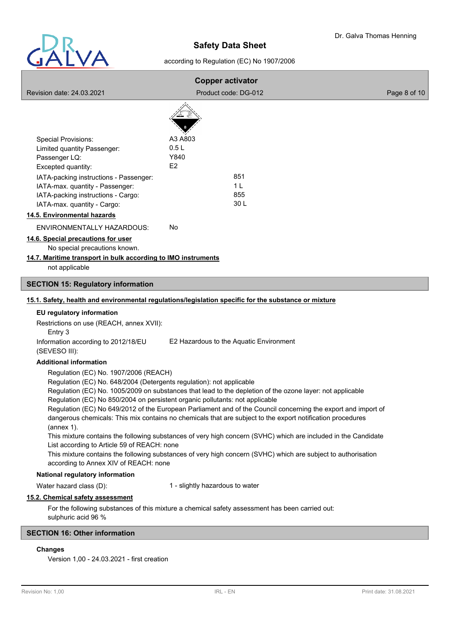

# according to Regulation (EC) No 1907/2006

|                                                                                                                             | <b>Copper activator</b>                                                                                                                                                                                                                                                                                                                                                                                                  |              |
|-----------------------------------------------------------------------------------------------------------------------------|--------------------------------------------------------------------------------------------------------------------------------------------------------------------------------------------------------------------------------------------------------------------------------------------------------------------------------------------------------------------------------------------------------------------------|--------------|
| Revision date: 24.03.2021                                                                                                   | Product code: DG-012                                                                                                                                                                                                                                                                                                                                                                                                     | Page 8 of 10 |
|                                                                                                                             |                                                                                                                                                                                                                                                                                                                                                                                                                          |              |
| <b>Special Provisions:</b>                                                                                                  | A3 A803                                                                                                                                                                                                                                                                                                                                                                                                                  |              |
| Limited quantity Passenger:                                                                                                 | 0.5L                                                                                                                                                                                                                                                                                                                                                                                                                     |              |
| Passenger LQ:                                                                                                               | Y840                                                                                                                                                                                                                                                                                                                                                                                                                     |              |
| Excepted quantity:                                                                                                          | E <sub>2</sub>                                                                                                                                                                                                                                                                                                                                                                                                           |              |
| IATA-packing instructions - Passenger:                                                                                      | 851                                                                                                                                                                                                                                                                                                                                                                                                                      |              |
| IATA-max. quantity - Passenger:                                                                                             | 1 <sub>L</sub>                                                                                                                                                                                                                                                                                                                                                                                                           |              |
| IATA-packing instructions - Cargo:<br>IATA-max. quantity - Cargo:                                                           | 855<br>30L                                                                                                                                                                                                                                                                                                                                                                                                               |              |
|                                                                                                                             |                                                                                                                                                                                                                                                                                                                                                                                                                          |              |
| 14.5. Environmental hazards                                                                                                 |                                                                                                                                                                                                                                                                                                                                                                                                                          |              |
| ENVIRONMENTALLY HAZARDOUS:                                                                                                  | No                                                                                                                                                                                                                                                                                                                                                                                                                       |              |
| 14.6. Special precautions for user                                                                                          |                                                                                                                                                                                                                                                                                                                                                                                                                          |              |
| No special precautions known.<br>14.7. Maritime transport in bulk according to IMO instruments                              |                                                                                                                                                                                                                                                                                                                                                                                                                          |              |
| not applicable                                                                                                              |                                                                                                                                                                                                                                                                                                                                                                                                                          |              |
|                                                                                                                             |                                                                                                                                                                                                                                                                                                                                                                                                                          |              |
| <b>SECTION 15: Regulatory information</b>                                                                                   |                                                                                                                                                                                                                                                                                                                                                                                                                          |              |
|                                                                                                                             | 15.1. Safety, health and environmental regulations/legislation specific for the substance or mixture                                                                                                                                                                                                                                                                                                                     |              |
| EU regulatory information                                                                                                   |                                                                                                                                                                                                                                                                                                                                                                                                                          |              |
| Restrictions on use (REACH, annex XVII):<br>Entry 3                                                                         |                                                                                                                                                                                                                                                                                                                                                                                                                          |              |
| Information according to 2012/18/EU<br>(SEVESO III):                                                                        | E2 Hazardous to the Aquatic Environment                                                                                                                                                                                                                                                                                                                                                                                  |              |
| <b>Additional information</b>                                                                                               |                                                                                                                                                                                                                                                                                                                                                                                                                          |              |
| Regulation (EC) No. 1907/2006 (REACH)<br>Regulation (EC) No. 648/2004 (Detergents regulation): not applicable<br>(annex 1). | Regulation (EC) No. 1005/2009 on substances that lead to the depletion of the ozone layer: not applicable<br>Regulation (EC) No 850/2004 on persistent organic pollutants: not applicable<br>Regulation (EC) No 649/2012 of the European Parliament and of the Council concerning the export and import of<br>dangerous chemicals: This mix contains no chemicals that are subject to the export notification procedures |              |
| List according to Article 59 of REACH: none<br>according to Annex XIV of REACH: none                                        | This mixture contains the following substances of very high concern (SVHC) which are included in the Candidate<br>This mixture contains the following substances of very high concern (SVHC) which are subject to authorisation                                                                                                                                                                                          |              |
| National regulatory information                                                                                             |                                                                                                                                                                                                                                                                                                                                                                                                                          |              |
| Water hazard class (D):                                                                                                     | 1 - slightly hazardous to water                                                                                                                                                                                                                                                                                                                                                                                          |              |
| 15.2. Chemical safety assessment                                                                                            |                                                                                                                                                                                                                                                                                                                                                                                                                          |              |
| sulphuric acid 96 %                                                                                                         | For the following substances of this mixture a chemical safety assessment has been carried out:                                                                                                                                                                                                                                                                                                                          |              |
| <b>SECTION 16: Other information</b>                                                                                        |                                                                                                                                                                                                                                                                                                                                                                                                                          |              |

# **Changes**

Version 1,00 - 24.03.2021 - first creation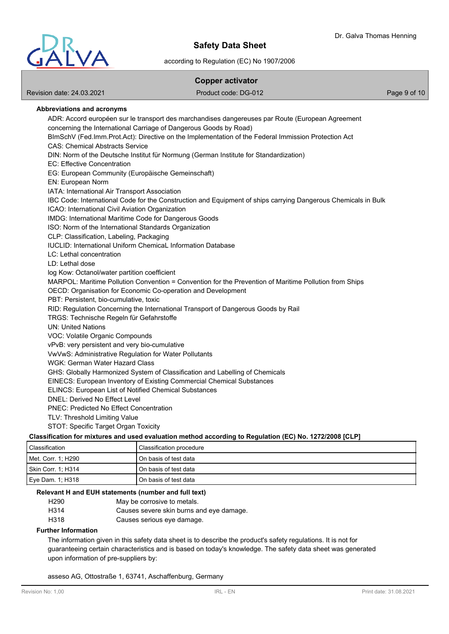

according to Regulation (EC) No 1907/2006

# **Copper activator**

Revision date: 24.03.2021 **Product code: DG-012** Page 9 of 10

# **Abbreviations and acronyms**

ADR: Accord européen sur le transport des marchandises dangereuses par Route (European Agreement concerning the International Carriage of Dangerous Goods by Road) BImSchV (Fed.Imm.Prot.Act): Directive on the Implementation of the Federal Immission Protection Act CAS: Chemical Abstracts Service DIN: Norm of the Deutsche Institut für Normung (German Institute for Standardization) EC: Effective Concentration EG: European Community (Europäische Gemeinschaft) EN: European Norm IATA: International Air Transport Association IBC Code: International Code for the Construction and Equipment of ships carrying Dangerous Chemicals in Bulk ICAO: International Civil Aviation Organization IMDG: International Maritime Code for Dangerous Goods ISO: Norm of the International Standards Organization CLP: Classification, Labeling, Packaging IUCLID: International Uniform ChemicaL Information Database LC: Lethal concentration LD: Lethal dose log Kow: Octanol/water partition coefficient MARPOL: Maritime Pollution Convention = Convention for the Prevention of Maritime Pollution from Ships OECD: Organisation for Economic Co-operation and Development PBT: Persistent, bio-cumulative, toxic RID: Regulation Concerning the International Transport of Dangerous Goods by Rail TRGS: Technische Regeln für Gefahrstoffe UN: United Nations VOC: Volatile Organic Compounds vPvB: very persistent and very bio-cumulative VwVwS: Administrative Regulation for Water Pollutants WGK: German Water Hazard Class GHS: Globally Harmonized System of Classification and Labelling of Chemicals EINECS: European Inventory of Existing Commercial Chemical Substances ELINCS: European List of Notified Chemical Substances DNEL: Derived No Effect Level PNEC: Predicted No Effect Concentration TLV: Threshold Limiting Value STOT: Specific Target Organ Toxicity

# **Classification for mixtures and used evaluation method according to Regulation (EC) No. 1272/2008 [CLP]**

| Classification     | Classification procedure |
|--------------------|--------------------------|
| Met. Corr. 1; H290 | l On basis of test data  |
| Skin Corr. 1; H314 | l On basis of test data  |
| Eye Dam. 1; H318   | On basis of test data    |

#### **Relevant H and EUH statements (number and full text)**

| H290 | May be corrosive to metals.              |
|------|------------------------------------------|
| H314 | Causes severe skin burns and eye damage. |
| H318 | Causes serious eye damage.               |

#### **Further Information**

The information given in this safety data sheet is to describe the product's safety regulations. It is not for guaranteeing certain characteristics and is based on today's knowledge. The safety data sheet was generated upon information of pre-suppliers by:

asseso AG, Ottostraße 1, 63741, Aschaffenburg, Germany